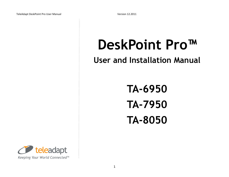# **DeskPoint Pro™**

# **User and Installation Manual**

**TA-6950 TA-7950 TA-8050**

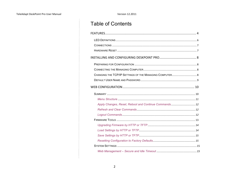# **Table of Contents**

| Apply Changes, Reset, Reboot and Continue Commands 12 |  |
|-------------------------------------------------------|--|
|                                                       |  |
|                                                       |  |
|                                                       |  |
|                                                       |  |
|                                                       |  |
|                                                       |  |
|                                                       |  |
|                                                       |  |
|                                                       |  |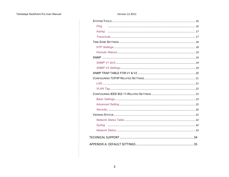#### TeleAdapt DeskPoint Pro User Manual

#### Version 12.2011

| Ping   |  |
|--------|--|
| Arping |  |
|        |  |
|        |  |
|        |  |
|        |  |
|        |  |
|        |  |
|        |  |
|        |  |
|        |  |
|        |  |
|        |  |
|        |  |
|        |  |
|        |  |
|        |  |
|        |  |
|        |  |
|        |  |
|        |  |
|        |  |
|        |  |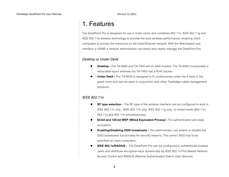# 1. Features

The DeskPoint Pro is designed for use in hotel rooms and combines 802.11n, IEEE 802.11g and IEEE 802.11b wireless technology to provide the best wireless performance, enabling client computers to access the resources on the hotel Ethernet network. With the Web-based user interface or SNMP a network administrator can easily and clearly manage the DeskPoint Pro.

#### *Desktop or Under Desk*

- **Desktop -** The TA-6960 and TA-7950 are on desk models. The TA-6950 incorporates a retractable spool whereas the TA-7950 has a RJ45 socket.
- **Under Desk -** The TA-8050 is designed to fit unobtrusively under the a desk in the guest room and can be used in conjunction with other TeleAdapt cable management products.

#### *IEEE 802.11n*

- **RF type selection** The RF type of the wireless interface can be configured to work in IEEE 802.11n only , IEEE 802.11b only, IEEE 802.11g only, or mixed mode (802.11n, 802.11g and 802.11b simultaneously).
- **64-bit and 128-bit WEP (Wired Equivalent Privacy) -** For authentication and data encryption.
- **Enabling/Disabling SSID broadcasts -** The administrator can enable or disable the SSID broadcasts functionality for security reasons. The correct SSID has to be specified on client computers.
- **IEEE 802.1x/RADIUS** The DeskPoint Pro can be configured to authenticate wireless users and distribute encryption keys dynamically by IEEE 802.1x Port-Based Network Access Control and RADIUS (Remote Authentication Dial-In User Service).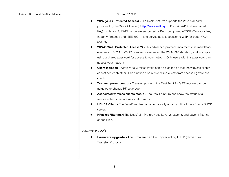- **WPA (Wi-Fi Protected Access) -** The DeskPoint Pro supports the WPA standard proposed by the Wi-Fi Alliance (Hhttp://www.wi-fi.orgH). Both WPA-PSK (Pre-Shared Key) mode and full WPA mode are supported. WPA is composed of TKIP (Temporal Key Integrity Protocol) and IEEE 802.1x and serves as a successor to WEP for better WLAN security.
- **WPA2 (Wi-Fi Protected Access 2) -** This advanced protocol implements the mandatory elements of 802.11i. WPA2 is an improvement on the WPA-PSK standard, and is simply using a shared password for access to your network. Only users with this password can access your network.
- **Client isolation -** Wireless-to-wireless traffic can be blocked so that the wireless clients cannot see each other. This function also blocks wired clients from accessing Wireless clients.
- **Transmit power control -** Transmit power of the DeskPoint Pro's RF module can be adjusted to change RF coverage.
- **Associated wireless clients status -** The DeskPoint Pro can show the status of all wireless clients that are associated with it.
- H**DHCP Client -** The DeskPoint Pro can automatically obtain an IP address from a DHCP server.
- H**Packet Filtering.**H The DeskPoint Pro provides Layer 2, Layer 3, and Layer 4 filtering capabilities.

#### *Firmware Tools*

 **Firmware upgrade -** The firmware can be upgraded by HTTP (Hyper Text Transfer Protocol).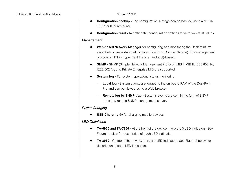- **Configuration backup -** The configuration settings can be backed up to a file via HTTP for later restoring.
- **Configuration reset -** Resetting the configuration settings to factory-default values.

#### *Management*

- **Web-based Network Manager** for configuring and monitoring the DeskPoint Pro via a Web browser (Internet Explorer, Firefox or Google Chrome). The management protocol is HTTP (Hyper Text Transfer Protocol)-based.
- **SNMP -** SNMP (Simple Network Management Protocol) MIB I, MIB II, IEEE 802.1d, IEEE 802.1x, and Private Enterprise MIB are supported.
- **System log** For system operational status monitoring.
	- **Local log -** System events are logged to the on-board RAM of the DeskPoint Pro and can be viewed using a Web browser.
	- **Remote log by SNMP trap -** Systems events are sent in the form of SNMP traps to a remote SNMP management server.

#### *Power Charging*

**USB Charging** 5V for charging mobile devices

#### *LED Definitions*

- **TA-6950 and TA-7950 -** At the front of the device, there are 3 LED indicators. See Figure 1 below for description of each LED indication.
- **TA-8050 -** On top of the device, there are LED indicators. See Figure 2 below for description of each LED indication.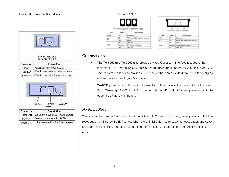



| ersion 12.2011/ |
|-----------------|
|                 |



|            | Path     | LAN<br>The Front LEDs of TA-8050 |
|------------|----------|----------------------------------|
| <b>LED</b> | State    | Description                      |
| PWR        | ON       | Power on                         |
| 贴          | ON       | RF on and blink every second     |
|            | ON       | LAN on                           |
| LAN        | Flashing | Throughput is busy               |
|            | OFF      | LAN off                          |

### **Connections**

 **The TA-6950 and TA-7950** also provide a wired Guest LAN interface just above the indicator LEDs. For the TA-6950 this is a retractable spool, for the TA-7950 this is an RJ45 socket. Both models also provide a USB socket that can provide up to 5V/1A for charging mobile devices. See Figure 3 to the left.

**TA-8050** provides an RJ45 jack to be used for offering a wired access point for the guest. Pair a TeleAdapt Pull-Through Pro or other Internet AP product for best presentation to the guest. See Figure 4 to the left.

#### *Hardware Reset*

The reset button can be found on the bottom of the unit. To perform a factory reset press and hold the reset button until the LAN LED flashes. When the LAN LED flashes release the reset button and quickly press and hold the reset button a second time (for at least 10 seconds) until the LAN LED flashes again.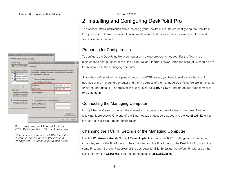

Fig 1. An example of Internet Protocol (TCP/IP) Properties in Microsoft Windows

Note: For some versions of Windows, the computer needs to be restarted for the changes of TCP/IP settings to take effect.

# 2. Installing and Configuring DeskPoint Pro

This section offers information about installing your DeskPoint Pro. Before configuring the DeskPoint Pro, you need to know the connection information supplied by your service provider and the field application environment.

### Preparing for Configuration

To configure the DeskPoint Pro, a computer with a web browser is needed. For the first-time or maintenance configuration of the DeskPoint Pro, an Ethernet network interface card (NIC) should have been installed in the managing computer.

Since the configuration/management protocol is HTTP-based, you have to make sure that the IP address of the managing computer and the IP address of the managed DeskPoint Pro are in the same IP subnet (the default IP address of the DeskPoint Pro is **192.168.0.1** and the default subnet mask is **255.255.255.0**.)

### Connecting the Managing Computer

Using Ethernet Cable to connect the managing computer and the Wireless 11n Access Point as following figure shows. One end of the Ethernet cable must be plugged into the **Hotel** LAN Ethernet jack of the DeskPoint Pro for configuration.

### Changing the TCP/IP Settings of the Managing Computer

Use the **Windows Network Control Panel Applet** to change the TCP/IP settings of the managing computer, so that the IP address of the computer and the IP address of the DeskPoint Pro are in the same IP subnet. Set the IP address of the computer to **192.168.0.xxx** (the default IP address of the DeskPoint Pro is **192.168.0.1**) and the subnet mask to **255.255.255.0**.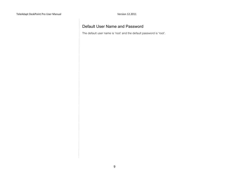### Default User Name and Password

The default user name is 'root' and the default password is 'root'.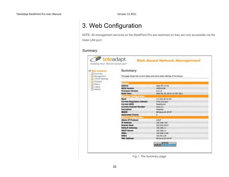# 3. Web Configuration

NOTE: All management services on the DeskPoint Pro are restricted so they are only accessible via the Hotel LAN port.

#### *Summary*

| <b>E Site contents:</b><br>Summary<br>Management<br>TCP/IP Settings | Summary<br>This page shows the current status and some basic settings of the device. |                              |  |
|---------------------------------------------------------------------|--------------------------------------------------------------------------------------|------------------------------|--|
| <b>Noninga</b><br><b>Car Status</b>                                 | System                                                                               |                              |  |
| <b>Logout</b>                                                       | <b>Uptime</b>                                                                        | Oday:Oh:1m:Ss                |  |
| Reboot                                                              | <b>BIOS Version</b>                                                                  | APXR-8195                    |  |
|                                                                     | <b>Firmware Version</b>                                                              | 6.7.1.2                      |  |
|                                                                     | <b>Build Time</b>                                                                    | Wed Oct 26 18:47:13 CST 2011 |  |
|                                                                     | <b>Wireless Configuration</b>                                                        |                              |  |
|                                                                     | Band                                                                                 | 2.4 GHz (B+G+N)              |  |
|                                                                     | <b>Current Regulatory Domain</b>                                                     | ETSI (Europe)                |  |
|                                                                     | <b>Current SSID</b>                                                                  | DeskPoint2                   |  |
|                                                                     | <b>Current Channel Number</b>                                                        | Auto (1)                     |  |
|                                                                     | <b>Encryption</b>                                                                    | Disabled                     |  |
|                                                                     | <b>BSSID</b>                                                                         | 80.ba:ac:01:07:3f            |  |
|                                                                     | <b>Associated Clients</b>                                                            | o.                           |  |
|                                                                     | <b>TCP/IP Configuration</b>                                                          |                              |  |
|                                                                     | <b>Attain IP Protocol</b>                                                            | DHCP                         |  |
|                                                                     | <b>IP Address</b>                                                                    | 192, 168, 1.50               |  |
|                                                                     | <b>Subnet Mask</b>                                                                   | 255.255.255.0                |  |
|                                                                     | <b>Default Gateway</b>                                                               | 192.168.1.1                  |  |
|                                                                     | <b>DHCP Server</b>                                                                   | 192.168.1.1                  |  |
|                                                                     | DNS1                                                                                 | 192.168.1.195                |  |
|                                                                     | DNS <sub>2</sub>                                                                     | 195.40.1.36                  |  |
|                                                                     | <b>MAC Address</b>                                                                   | 80:bacac:01:07:3f            |  |

Fig 1. The Summary page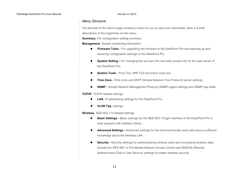#### *Menu Structure*

The left side of the Home page contains a menu for you to carry out commands. Here is a brief description of the hyperlinks on the menu:

**Summary.** For configuration setting summary.

**Management.** System monitoring information

- **Firmware Tools -** For upgrading the firmware of the DeskPoint Pro and backing up and restoring configuration settings of the DeskPoint Pro.
- **System Setting -** For changing the account info and web access info for the web server of the DeskPoint Pro.
- **System Tools -** Ping Tool, ARP Tool and trace route tool.
- **Time Zone -** Time zone and SNTP (Simple Network Time Protocol) server settings.
- **SNMP -** Simple Network Management Protocol (SNMP) agent settings and SNMP trap table.

**TCP/IP.** TCP/IP-related settings.

- **LAN.** IP addressing settings for the DeskPoint Pro.
- **VLAN Tag.** settings.

**Wireless.** IEEE 802.11n-related settings.

- **Basic Settings -** Basic settings for the IEEE 802.11b/g/n interface of the DeskPoint Pro to work properly with wireless clients.
- **Advanced Settings -** Advanced settings for the more technically users who have a sufficient knowledge about the Wireless LAN.
- **Security -** Security settings for authenticating wireless users and encrypting wireless data. Include the IEEE 802.1x Port-Based Network Access Control and RADIUS (Remote Authentication Dial-In User Service) settings for better wireless security.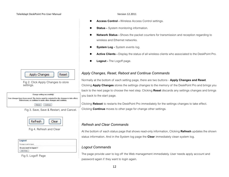Apply Changes **Reset** 

Fig 2. Click Apply Changes to store settings.

Change setting successfully!

Your changes have been saved. The device must be restarted for the changes to take effect. Reboat new, or continue to make other changes and continue.



Fig 3. Save, Save & Restart, and Cancel.



Fig 4. Refresh and Clear

| ogout                   |  |  |
|-------------------------|--|--|
|                         |  |  |
| Do you want to logout ? |  |  |
|                         |  |  |

Fig 5. Logoff Page

- **Access Control -** Wireless Access Control settings.
- **Status -** System monitoring information.
- **Network Status -** Shows the packet counters for transmission and reception regarding to wireless and Ethernet networks.
- **System Log -** System events log.
- **Active Clients -** Display the status of all wireless clients who associated to the DeskPoint Pro.
- **Logout -** The Logoff page.

### *Apply Changes, Reset, Reboot and Continue Commands*

Normally at the bottom of each setting page, there are two buttons - **Apply Changes and Reset**. Clicking **Apply Changes** stores the settings changes to the memory of the DeskPoint Pro and brings you back to the next page to choose the next step. Clicking **Reset** discards any settings changes and brings you back to the start page.

Clicking **Reboot** to restarts the DeskPoint Pro immediately for the settings changes to take effect. Clicking **Continue** moves to other page for change other settings.

#### *Refresh and Clear Commands*

At the bottom of each status page that shows read-only information, Clicking **Refresh** updates the shown status information. And in the System log page the **Clear** immediately clean system log.

### *Logout Commands*

The page provide user to log off the Web management immediately. User needs apply account and password again if they want to login again.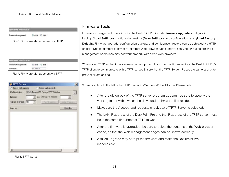## **IRMWARE MANAGEMENT**

 $@$  HTTP  $@$  TTTP Firmware Management:

Fig 6. Firmware Management via HTTP

| <b>Firmware Management:</b> | <b>COLLEGE</b><br>$O$ $H$ m $P$ $R$ $H$ m $P$ |  |
|-----------------------------|-----------------------------------------------|--|
|                             | 92, MA E. 10                                  |  |

Fig 7. Firmware Management via TFTP

| <b>&amp; TFTP Server</b> |    |   |                                         | $\vert x \vert$ |
|--------------------------|----|---|-----------------------------------------|-----------------|
| W Accept good requests   |    |   | Accept with requests                    |                 |
| Working folder:          |    |   | D:My Project///C Project//IFIP/IftpSrvr | L.              |
| Timeout.                 | 1. |   | w me: Mex go of sessions                | $\bullet$       |
| Mag ao of retries: [20]  |    | 킈 | View Seasons                            | Close Zembers   |
| Event log:               |    |   |                                         | Clear Log       |
|                          |    |   |                                         |                 |
|                          |    |   |                                         |                 |

Fig 8. TFTP Server

### Firmware Tools

Firmware management operations for the DeskPoint Pro include **firmware upgrade**, configuration backup (**Load Settings**), configuration restore (**Save Settings**), and configuration reset (**Load Factory Default**). Firmware upgrade, configuration backup, and configuration restore can be achieved via HTTP or TFTP. Due to different behavior of different Web browser types and versions, HTTP-based firmware management operations may not work properly with some Web browsers.

When using TFTP as the firmware management protocol, you can configure settings the DeskPoint Pro's TFTP client to communicate with a TFTP server. Ensure that the TFTP Server IP uses the same subnet to prevent errors arising.

Screen capture to the left is the TFTP Server in Windows XP, the TftpSrvr. Please note:

- After the dialog box of the TFTP server program appears, be sure to specify the working folder within which the downloaded firmware files reside.
- Make sure the Accept read requests check box of TFTP Server is selected.
- The LAN IP address of the DeskPoint Pro and the IP address of the TFTP server must be in the same IP subnet for TFTP to work.
- After the firmware is upgraded, be sure to delete the contents of the Web browser cache, so that the Web management pages can be shown correctly.
- A failed upgrade may corrupt the firmware and make the DeskPoint Pro inaccessible.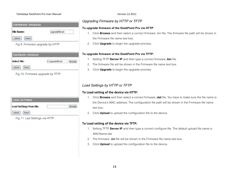#### TeleAdapt DeskPoint Pro User Manual Version 12.2011

| <b>FIRMWARE UPGRADE</b> |                |
|-------------------------|----------------|
| File Name:              | upgradefie.bin |
|                         |                |

Fig 9. Firmware upgrade by HTTP

| <b>FIRMWARE UPGRADE</b> |  |
|-------------------------|--|
| Select File:            |  |
|                         |  |

Fig 10. Firmware upgrade by TFTP

| <b>LOAD SETTINGS</b>     |  |
|--------------------------|--|
| Load Settings from File: |  |
|                          |  |

Fig 11. Lad Settings via HTTP

### *Upgrading Firmware by HTTP or TFTP*

#### **To upgrade firmware of the DeskPoint Pro via HTTP**:

- 1. Click **Browse** and then select a correct firmware .bin file. The firmware file path will be shown in the Firmware file name text box.
- 2. Click **Upgrade** to begin the upgrade process.

#### **To upgrade firmware of the DeskPoint Pro via TFTP**:

- 1. Setting TFTP **Server IP** and then type a correct firmware **.bin** file.
- 2. The firmware file will be shown in the Firmware file name text box.
- 3. Click **Upgrade** to begin the upgrade process.

#### *Load Settings by HTTP or TFTP*

#### **To Load setting of the device via HTTP:**

- 1. Click **Browse** and then select a correct firmware **.dat** file. You have to make sure the file name is the Device's MAC address. The configuration file path will be shown in the Firmware file name text box.
- 2. Click **Upload** to upload the configuration file to the device.

#### **To Load setting of the device via TFTP:**

- 1. Setting TFTP **Server IP** and then type a correct configure file. The default upload file name is MACName.dat.
- 2. The firmware .dat file will be shown in the Firmware file name text box.
- 3. Click **Upload** to upload the configuration file to the device.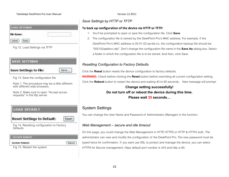#### TeleAdapt DeskPoint Pro User Manual Version 12.2011

| <b>LOAD SETTINGS</b> |  |
|----------------------|--|
| File Name:           |  |
|                      |  |

Fig 12. Load Settings via TFTP

Fig 13. Save the configuration file

Note 1: The procedure may be a little different with different web browsers.

Note 2: Make sure to open "Accept acces requests" in the tftp server.

### **LOAD DEFAULT**

#### **Reset Settings to Default:**

Fig 14. Resetting configuration to Factory **Defaults** 

|  | <b>SYSTEM REBOOT</b> |
|--|----------------------|
|  |                      |

**System Reboot:** 

Fig 15. Restart the system

### *Save Settings by HTTP or TFTP*

#### To back up configuration of the device via HTTP or TFTP:

- 1. You'll be prompted to open or save the configuration file. Click **Save**.
- 2. The configuration file is named by the DeskPoint Pro's MAC address. For example, if the DeskPoint Pro's MAC address is 00-01-02-aa-bb-cc, the configuration backup file should be "000102aabbcc.dat". Don't change the configuration file name in the **Save As** dialog box. Select a folder in which the configuration file is to be stored. And then, click Save.

#### *Resetting Configuration to Factory Defaults*

Click the **Reset** button resets the device configuration to factory defaults.

**WARNING:** Check before clicking the **Reset** button before overriding all current configuration setting.

Click the **Reboot** button to restart the device and waiting 40 to 60 seconds. New message will prompt:

### **Change setting successfully! Do not turn off or reboot the device during this time. Please wait 35 seconds…**

### System Settings

Reset

Reboot

You can change the User Name and Password of Administrator (Manager) in the function.

#### *Web Management – secure and idle timeout*

On this page, you could change the Web Management in HTTP, HTTPS or HTTP & HTTPs both. The administrator can view and modify the configuration of the DeskPoint Pro. The new password must be typed twice for confirmation. If you want use SSL to protect and manage the device, you can select HTTPS for Secure management, https default port number is 443 and http is 80.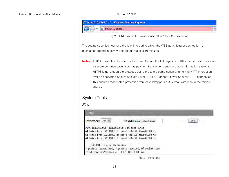

Fig 20. URL box on IE Browser, use https:// for SSL protection.

The setting specifies how long the idle time during which the WEB administrator connection is maintained during inactivity. The default value is 10 minutes.

**Notes**: HTTPS (Hyper text Transfer Protocol over Secure Socket Layer) is a URI scheme used to indicate a secure communication such as payment transactions and corporate information systems. HTTPS is not a separate protocol, but refers to the combination of a normal HTTP interaction over an encrypted Secure Sockets Layer (SSL) or Transport Layer Security (TLS) connection. This ensures reasonable protection from eavesdroppers but is weak with man-in-the-middle attacks.

### System Tools

#### *Ping*



Fig 21. Ping Tool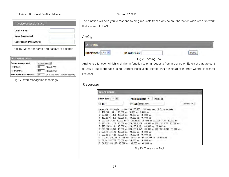#### TeleAdapt DeskPoint Pro User Manual Version 12.2011

| PASSWORD SETTING           |  |
|----------------------------|--|
| <b>User Name:</b>          |  |
| New Password:              |  |
| <b>Confirmed Password:</b> |  |

Fig 16. Manager name and password settings

| <b>WEB MANAGEMENT</b>                |     |                                   |
|--------------------------------------|-----|-----------------------------------|
| HTTP & HTTPs -<br>Secure management: |     |                                   |
| <b>HTTP Port</b>                     | leo | (default:80)                      |
| <b>HTTPS Port:</b>                   | 443 | (default:443)                     |
| Web Admin Idle Timeout:              | lıa | (0~10080 mins, 0;no idle timeout) |

Fig 17. Web Management settings

The function will help you to respond to ping requests from a device on Ethernet or Wide Area Network that are sent to LAN IP.

#### *Arping*

| Interface: LAN<br>w | <b>IP Address:</b> |  |  |  |
|---------------------|--------------------|--|--|--|

Fig 22. Arping Tool

Arping is a function which is similar in function to ping requests from a device on Ethernet that are sent to LAN IP, but it operates using Address Resolution Protocol (ARP) instead of Internet Control Message Protocol.

#### *Traceroute*

|                 | <b>TRACEROUTE</b> |                                                                                |            |
|-----------------|-------------------|--------------------------------------------------------------------------------|------------|
|                 | Interface: LAN Y  | Trace Number: 20<br>(max:50)                                                   |            |
|                 | IP:               | O Url: google.com                                                              | traceroute |
|                 |                   | traceroute to google.com (64.233.183.105), 20 hops max, 38 byte packets        |            |
|                 |                   | 192.168.168.1 10.000 ms 0.000 ms 0.000 ms                                      |            |
| 2               | 59 120 41 254     | 40,000 ms 30,000 ms 40,000 ms                                                  |            |
| 3               |                   | 168.95.84.218 30.000 ms 30.000 ms 40.000 ms                                    |            |
| 4               |                   | 220.128.5.54 30.000 ms 211.22.36.50 30.000 ms 220.128.5.54 40.000 ms           |            |
| 5               |                   | 220.128.1.110 40.000 ms 220.128.2.170 40.000 ms 220.128.3.22 30.000 ms         |            |
| 6               |                   | 220.128.4.181 40.000 ms 220.128.1.121 40.000 ms 30.000 ms                      |            |
| 7               |                   | 30,000 ms<br>220.128.3.249  40.000 ms  220.128.4.249  30.000 ms  220.128.3.249 |            |
| 8               |                   | 203.75.135.38 40.000 ms 30.000 ms 40.000 ms                                    |            |
| 9               | 209.85.243.26     | 30,000 ms 40,000 ms 40,000 ms                                                  |            |
| 10 <sup>°</sup> | 209.85.250.103    | 30,000 ms 40,000 ms 209.85.243.23<br>30,000 ms                                 |            |
| 11              | 72.14.238.226     | 50,000 ms 40,000 ms 30,000 ms                                                  |            |
| 12              |                   | 64.233.183.105 40.000 ms 40.000 ms 40.000 ms                                   |            |

Fig 23. Traceroute Tool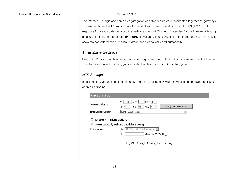The Internet is a large and complex aggregation of network hardware, connected together by gateways. Traceroute utilizes the IP protocol time to live field and attempts to elicit an ICMP TIME\_EXCEEDED response from each gateway along the path to some host. This tool is intended for use in network testing, measurement and management. **IP** or **URL** is available. To use URL set IP interface to DHCP. The results show the hop addresses numerically rather than symbolically and numerically.

### Time Zone Settings

DeskPoint Pro can maintain the system time by synchronizing with a public time server over the Internet. To schedule a periodic reboot, you can enter the day, hour and min for the system.

#### *NTP Settings*

In this section, you can set time manually and enable/disable Daylight Saving Time and synchronization of time upgrading.

| <b>NTP SETTINGS</b>                                                                                                                                    |                                                                                 |  |  |
|--------------------------------------------------------------------------------------------------------------------------------------------------------|---------------------------------------------------------------------------------|--|--|
| <b>Current Time:</b>                                                                                                                                   | Day 25<br>Yr 2010<br>Mon 2<br>Copy Computer Time<br>Min 29<br>$Hr$ 11<br>Sec  0 |  |  |
| Time Zone Select:                                                                                                                                      | (GMT+08:00)Taipei                                                               |  |  |
| Enable NTP client update<br><b>Automatically Adjust Daylight Saving</b><br>192.5.41.41 - North America<br>€<br>NTP server:<br>С<br>(Manual IP Setting) |                                                                                 |  |  |

Fig 24. Daylight Saving Time setting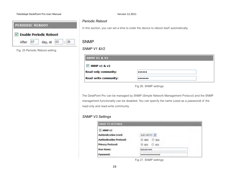#### TeleAdapt DeskPoint Pro User Manual Version 12.2011

| <b>PERIODIC REBOOT</b> |                        |  |
|------------------------|------------------------|--|
|                        | Enable Periodic Reboot |  |
| After                  | day, at 03 : 30        |  |

Fig. 25 Periodic Reboot setting

#### *Periodic Reboot*

In this section, you can set a time to order the device to reboot itself automatically.

### SNMP

#### *SNMP V1 &V2*

| <b>SNMP V1 &amp; V2</b>      |  |
|------------------------------|--|
| $\vee$ SNMP v1 & v2          |  |
| <b>Read-only community:</b>  |  |
| <b>Read-write community:</b> |  |

Fig 26. SNMP settings

The DeskPoint Pro can be managed by SNMP (Simple Network Management Protocol) and the SNMP management functionality can be disabled. You can specify the name (used as a password) of the read-only and read-write community.

#### *SNMP V3 Settings*

| <b>SNMP V3 SETTINGS</b>         |                |
|---------------------------------|----------------|
| $\vee$ SNMP $\vee$ 3            |                |
| <b>Authenitcation Level:</b>    | Auth with Priv |
| <b>Authenitcation Protocol:</b> | @ MD5 C SHA    |
| <b>Privacy Protocol:</b>        | @ DES O AES    |
| <b>User Name:</b>               | testusername   |
| Password:                       |                |

Fig 27. SNMP settings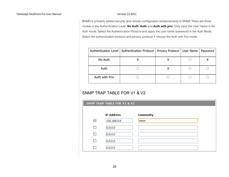SNMPv3 primarily added security and remote configuration enhancements to SNMP. There are three modes in the Authentication Level. **No Auth**, **Auth** and **Auth with priv.** Only input the User Name in No Auth mode. Select the Authentication Protocol and apply the user name /password in the Auth Mode. Select the authentication protocol and privacy protocol if choose the Auth with Priv mode.

|                | Authentication Level   Authentication Protocol   Privacy Protocol   User Name   Password |  |  |
|----------------|------------------------------------------------------------------------------------------|--|--|
| No Auth        |                                                                                          |  |  |
| Auth           |                                                                                          |  |  |
| Auth with Priv |                                                                                          |  |  |

### SNMP TRAP TABLE FOR V1 & V2

|   | SNMP TRAP TABLE FOR V1 & V2 |                  |  |  |  |
|---|-----------------------------|------------------|--|--|--|
|   | <b>IP Address</b>           | <b>Community</b> |  |  |  |
| ▿ | 192.168.0.6                 | ******           |  |  |  |
|   | 0.0.0.0                     |                  |  |  |  |
|   | 0.0.0.0                     |                  |  |  |  |
|   | 0.0.0.0                     |                  |  |  |  |
|   | 0.0.0.0                     |                  |  |  |  |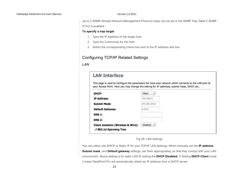Up to 5 SNMP (Simple Network Management Protocol) traps can be set in the SNMP Trap Table if SNMP V1/V2 is enabled.

#### **To specify a trap target**:

- 1. Type the IP address of the target host.
- 2. Type the Community for the host.
- 3. Select the corresponding check box next to the IP address text box.

### Configuring TCP/IP Related Settings

#### *LAN*

|                 | This page is used to configure the parameters for local area network which connects to the LAN port of<br>your Access Point. Here you may change the setting for IP addresss, subnet mask, DHCP, etc |
|-----------------|------------------------------------------------------------------------------------------------------------------------------------------------------------------------------------------------------|
| Client          |                                                                                                                                                                                                      |
| 192.168.0.1     |                                                                                                                                                                                                      |
| 255.255.255.0   |                                                                                                                                                                                                      |
| 0.0.0.0.        |                                                                                                                                                                                                      |
|                 |                                                                                                                                                                                                      |
|                 |                                                                                                                                                                                                      |
| <b>Disabled</b> |                                                                                                                                                                                                      |
|                 |                                                                                                                                                                                                      |

#### Fig 29. LAN settings

You can either use DHCP or Static IP for your TCP/IP LAN Settings. When manually set the **IP address**, **Subnet mask**, and **Default gateway** settings, set them appropriately, so that they comply with your LAN environment. Above setting is for static LAN IP, setting the **DHCP Disabled**. If Setting **DHCP Client** mode it mean DeskPoint Pro will automatically obtain an IP address from a DHCP server.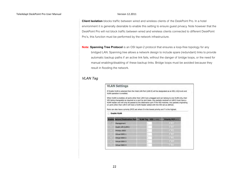**Client Isolation** blocks traffic between wired and wireless clients of the DeskPoint Pro. In a hotel environment it is generally desirable to enable this setting to ensure guest privacy. Note however that the DeskPoint Pro will not block traffic between wired and wireless clients connected to different DeskPoint Pro's, this function must be performed by the network infrastructure.

**Note: Spanning Tree Protocol** is an OSI layer-2 protocol that ensures a loop-free topology for any bridged LAN. Spanning tree allows a network design to include spare (redundant) links to provide automatic backup paths if an active link fails, without the danger of bridge loops, or the need for manual enabling/disabling of these backup links. Bridge loops must be avoided because they result in flooding the network.

#### *VLAN Tag*

|    | <b>VLAN Settings</b>                                                                                                                                                                                                                                                                                                                                                                                                                                                                                            |                        |                    |
|----|-----------------------------------------------------------------------------------------------------------------------------------------------------------------------------------------------------------------------------------------------------------------------------------------------------------------------------------------------------------------------------------------------------------------------------------------------------------------------------------------------------------------|------------------------|--------------------|
|    | If Enable VLAN is selected then the Hotel LAN Port (LAN 0) will be designated as an 801.11Q trunk and<br>VLAN operation is enabled.                                                                                                                                                                                                                                                                                                                                                                             |                        |                    |
|    | When VLAN is enabled, all ports other than LAN 0 are untagged and can belong to one VLAN only, their<br>VID being changeable as required on a port by port basis. Any packets received on LAN 0 must have a<br>VLAN header and will only be passed to the destination port if the VID matches. Any packets originating<br>on ports other than LAN 0 will have a VLAN header added with the VID set as defined.<br>Ports can also have a priority (PCP) set where 0 is the lowest priority and 7 is the highest. |                        |                    |
|    | Enable VLAN                                                                                                                                                                                                                                                                                                                                                                                                                                                                                                     |                        |                    |
|    |                                                                                                                                                                                                                                                                                                                                                                                                                                                                                                                 |                        |                    |
|    | <b>Enable Secure/Destination Port</b>                                                                                                                                                                                                                                                                                                                                                                                                                                                                           | VLAN Tag - VID (2-459) | Priority PCP (S-7) |
| R. | <b>Management</b>                                                                                                                                                                                                                                                                                                                                                                                                                                                                                               | $\pm$                  | 支になる               |
|    | Guest LAN (LAN1)                                                                                                                                                                                                                                                                                                                                                                                                                                                                                                | £                      | 10:10              |
|    | Primary SSID                                                                                                                                                                                                                                                                                                                                                                                                                                                                                                    | 1.                     | 合計                 |
|    | Virtual \$52D 1                                                                                                                                                                                                                                                                                                                                                                                                                                                                                                 | ŧ                      | 市山                 |
|    | Virtual \$520.2                                                                                                                                                                                                                                                                                                                                                                                                                                                                                                 | Ŀ.                     | 0.28               |
|    | Virtual 5550-3                                                                                                                                                                                                                                                                                                                                                                                                                                                                                                  | t                      | ■ 五                |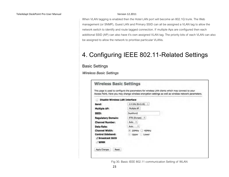When VLAN tagging is enabled then the Hotel LAN port will become an 802.1Q trunk. The Web management (or SNMP), Guest LAN and Primary SSID can all be assigned a VLAN tag to allow the network switch to identify and route tagged connection. If multiple Aps are configured then each additional SSID (AP) can also have it's own assigned VLAN tag. The priority bits of each VLAN can also be assigned to allow the network to prioritise particular VLANs.

# 4. Configuring IEEE 802.11-Related Settings

Basic Settings

*Wireless Basic Settings*

| <b>Disable Wireless LAN Interface</b> |                    |  |
|---------------------------------------|--------------------|--|
| Band:                                 | 2.4 GHz (B+G+N) :  |  |
| <b>Multiple AP:</b>                   | Multiple AP        |  |
| SSID:                                 | DeskPoint2         |  |
| <b>Regulatory Domain:</b>             | ETSI (Europe) 1    |  |
| <b>Channel Number:</b>                | Auto 1             |  |
| Data Rate:                            | - 61<br>Auto.      |  |
| <b>Channel Width:</b>                 | $-20$ MHz<br>40MHz |  |
| <b>Control Sideband:</b>              | Upper<br>Lower     |  |
| Broadcast SSID                        |                    |  |
| <b>WMM</b>                            |                    |  |

Fig 30. Basic IEEE 802.11 communication Setting of WLAN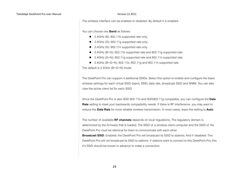The wireless interface can be enabled or disabled. By default it is enabled.

You can choose one **Band** as follows:

- 2.4GHz (B): 802.11b supported rate only.
- 2.4GHz (G): 802.11g supported rate only.
- 2.4GHz (N): 802.11n supported rate only.
- 2.4GHz (B+G): 802.11b supported rate and 802.11g supported rate.
- 2.4GHz (G+N): 802.11g supported rate and 802.11n supported rate.
- 2.4GHz  $(B+G+N)$ : 802.11b, 802.11g and 802.11n supported rate.

The default is 2.4GHz (B+G+N) mode.

The DeskPoint Pro can support 4 additional SSIDs. Select this option to enable and configure the basic wireless settings for each virtual SSID (band, SSID, data rate, broadcast SSID and WMM. You can also view the active client list for each SSID.

Since the DeskPoint Pro is also IEEE 802.11b and IEEE802.11g compatible, you can configure the **Date Rate** setting to meet your backwards compatibility needs. If there is RF interference, you may want to reduce the **Data Rate** for more reliable wireless transmission. In most cases, leave the setting to **Auto**.

The number of available **RF channels** depends on local regulations, The regulatory domain is determined by the firmware that is loaded. The SSID of a wireless client computer and the SSID of the DeskPoint Pro must be identical for them to communicate with each other.

**Broadcast SSID**: Enabled; the DeskPoint Pro will broadcast its SSID to stations. And if disabled: This DeskPoint Pro will not broadcast its SSID to stations. If stations want to connect to this DeskPoint Pro, this it's SSID should be known in advance to make a connection.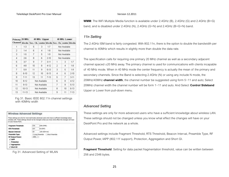| Primary 20 MHz |           | 40 MHz Upper                                                 |               |          | 40 MHz Lower  |               |          |
|----------------|-----------|--------------------------------------------------------------|---------------|----------|---------------|---------------|----------|
|                |           | Channel blocks Sec. Ch. center blocks Sec. Ch. center blocks |               |          |               |               |          |
| 1              | $1-3$     | 5                                                            | з             | $1 - 7$  |               | Not Available |          |
| 2              | $1-4$     | 6                                                            | 4             | $1-8$    | Not Available |               |          |
| 3              | $1 - 5$   | 7                                                            | 5             | $1-9$    | Not Available |               |          |
| 4              | 26        | 8                                                            | 6             | $2-10$   | Not Available |               |          |
| 5              | $3-7$     | 9                                                            | 7             | $3 - 11$ | 1             | 3             | $1 - 7$  |
| 6              | $4 - 8$   | 10                                                           | 8             | $4-12$   | 2             | 4             | $1-8$    |
| 7              | 5.9       | 11                                                           | 9             | $5-13$   | 3             | 5             | $1-9$    |
| 8              | $6-10$    | 12                                                           | 10            | 6-13     | 4             | 6             | $2-10$   |
| 9              | $7 - 11$  | 13                                                           | 11            | $7-13$   | 5             | 7             | $3 - 11$ |
| 10             | 8-12      |                                                              | Not Available |          |               | 8             | $4 - 12$ |
| 11             | $9 - 13$  |                                                              | Not Available |          |               | 9             | $5-13$   |
| 12             | $10 - 13$ |                                                              | Not Available |          | 8             | 10            | $6 - 13$ |
| 13             | $11-13$   |                                                              | Not Available |          | 9             | 11            | $7-13$   |

Fig 31. Basic IEEE 802.11n channel settings with 40MHz width

| Wireless Advanced Settings |      |                                                                                                                                                                                                          |
|----------------------------|------|----------------------------------------------------------------------------------------------------------------------------------------------------------------------------------------------------------|
| DR WOLF ACCOUNT POINT.     |      | These settings are only for more technically advanced users who have a sufficient knowledge about<br>wheless LAN. These settings should not be changed unless you know what effect the changes will have |
| <b>Fragment Threshold:</b> | 2348 | (256-2346)                                                                                                                                                                                               |
| <b>RTS Threshold:</b>      | 2343 | 03-23475                                                                                                                                                                                                 |
| Beacon Interval:           |      | (20-1624 mu)                                                                                                                                                                                             |
| <b>Preamble Type:</b>      |      | K Long Preamble<br>Short Presenting                                                                                                                                                                      |
| <b>RF Output Power:</b>    | 100% |                                                                                                                                                                                                          |
| J TAPP                     |      |                                                                                                                                                                                                          |
| <b>Probaction</b>          |      |                                                                                                                                                                                                          |
| <b>Appregation</b>         |      |                                                                                                                                                                                                          |
| J Short GI                 |      |                                                                                                                                                                                                          |

Fig 31. Advanced Setting of WLAN

**WMM**: The WiFi Multiple Media function is available under 2.4GHz (B), 2.4GHz (G) and 2.4GHz (B+G) band, and is disabled under 2.4GHz (N), 2.4GHz (G+N) and 2.4GHz (B+G+N) band.

#### *11n Setting*

The 2.4GHz ISM band is fairly congested. With 802.11n, there is the option to double the bandwidth per channel to 40MHz which results in slightly more than double the data rate.

The specification calls for requiring one primary 20 MHz channel as well as a secondary adjacent channel spaced  $\pm$ 20 MHz away. The primary channel is used for communications with clients incapable of 40 MHz mode. When in 40 MHz mode the center frequency is actually the mean of the primary and secondary channels. Since the Band is selecting 2.4GHz (N) or using any include N mode, the 20MHz/40MHz **channel width**, the channel number be suggested using form 5~11 and auto; Select 20MHz channel width the channel number will be form 1~11 and auto. And Select **Control Sideband** Upper or Lower from pull-down menu.

#### *Advanced Setting*

These settings are only for more advanced users who have a sufficient knowledge about wireless LAN. These settings should not be changed unless you know what effect the changes will have on your DeskPoint Pro and the network as a whole.

Advanced settings include Fragment Threshold, RTS Threshold, Beacon Interval, Preamble Type, RF Output Power, IAPP (802.11f support), Protection, Aggregation and Short GI.

**Fragment Threshold**: Setting for data packet fragmentation threshold, value can be written between 256 and 2346 bytes.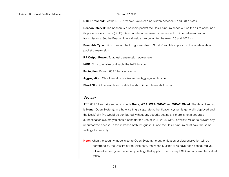**RTS Threshold**: Set the RTS Threshold, value can be written between 0 and 2347 bytes.

**Beacon Interval**: The beacon is a periodic packet the DeskPoint Pro sends out on the air to announce its presence and name (SSID). Beacon Interval represents the amount of time between beacon transmissions. Set the Beacon Interval, value can be written between 20 and 1024 ms.

**Preamble Type:** Click to select the Long Preamble or Short Preamble support on the wireless data packet transmission.

**RF Output Power**: To adjust transmission power level.

**IAPP:** Click to enable or disable the IAPP function.

**Protection:** Protect 802.11n user priority.

**Aggregation**: Click to enable or disable the Aggregation function.

**Short GI:** Click to enable or disable the short Guard Intervals function.

#### *Security*

IEEE 802.11 security settings include **None**, **WEP**, **WPA**, **WPA2** and **WPA2 Mixed**. The default setting is **None** (Open System). In a hotel setting a separate authentication system is generally deployed and the DeskPoint Pro would be configured without any security settings. If there is not a separate authentication system you should consider the use of WEP, WPA, WPA2 or WPA2 Mixed to prevent any unauthorized access. In this instance both the guest PC and the DeskPoint Pro must have the same settings for security.

**Note:** When the security mode is set to Open System, no authentication or data encryption will be performed by the DeskPoint Pro. Also note, that when Multiple AP's have been configured you will need to configure the security settings that apply to the Primary SSID and any enabled virtual SSIDs.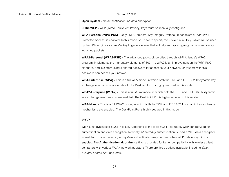**Open System -** No authentication, no data encryption.

**Static WEP -** WEP (Wired Equivalent Privacy) keys must be manually configured.

**WPA-Personal (WPA-PSK) -** Only TKIP (Temporal Key Integrity Protocol) mechanism of WPA (Wi-Fi Protected Access) is enabled. In this mode, you have to specify the **Pre-shared key**, which will be used by the TKIP engine as a *master key* to generate keys that actually encrypt outgoing packets and decrypt incoming packets.

**WPA2-Personal (WPA2-PSK) -** The advanced protocol, certified through Wi-Fi Alliance's WPA2 program, implements the mandatory elements of 802.11i. WPA2 is an improvement on the WPA-PSK standard, and is simply using a shared password for access to your network. Only users with this password can access your network.

**WPA-Enterprise (WPA) -** This is a full WPA mode, in which both the TKIP and IEEE 802.1x dynamic key exchange mechanisms are enabled. The DeskPoint Pro is highly secured in this mode.

**WPA2-Enterprise (WPA2) -** This is a full WPA2 mode, in which both the TKIP and IEEE 802.1x dynamic key exchange mechanisms are enabled. The DeskPoint Pro is highly secured in this mode.

**WPA-Mixed -** This is a full WPA2 mode, in which both the TKIP and IEEE 802.1x dynamic key exchange mechanisms are enabled. The DeskPoint Pro is highly secured in this mode.

#### *WEP*

WEP is not available if 802.11n is set. According to the IEEE 802.11 standard, WEP can be used for authentication and data encryption. Normally, *Shared Key* authentication is used if WEP data encryption is enabled. In rare cases, *Open System* authentication may be used when WEP data encryption is enabled. The **Authentication algorithm** setting is provided for better compatibility with wireless client computers with various WLAN network adapters. There are three options available, including Open System, Shared Key, and Auto.

27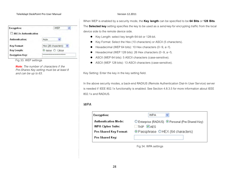#### TeleAdapt DeskPoint Pro User Manual Version 12.2011

| <b>Encryption:</b>     | WEP                  |
|------------------------|----------------------|
| 802.1x Authentication  |                      |
| <b>Authentication:</b> | Auto                 |
| <b>Key Format:</b>     | Hex (26 characters)  |
| Key Length:            | 64-bit 2128-bit<br>◉ |
| <b>Encryption Key:</b> |                      |

Fig 33. WEP settings

*Note*: The number of characters if the Pre-Shares Key setting must be at least 8 and can be up to 63.

When WEP is enabled by a security mode, the **Key length** can be specified to be **64 Bits** or **128 Bits**. The **Selected key** setting specifies the key to be used as a send-key for encrypting traffic from the local device side to the remote device side.

- Key Length: select key length 64-bit or 128-bit.
- Key Format: Select the Hex (10 characters) or ASCII (5 characters).
- $\bullet$  Hexadecimal (WEP 64 bits): 10 Hex characters (0~9, a~f).
- Hexadecimal (WEP 128 bits): 26 Hex characters (0~9, a~f).
- ASCII (WEP 64 bits): 5 ASCII characters (case-sensitive).
- ASCII (WEP 128 bits): 13 ASCII characters (case-sensitive).

Key Setting: Enter the key in the key setting field.

In the above security modes, a back-end RADIUS (Remote Authentication Dial-In User Service) server is needed if IEEE 802.1x functionality is enabled. See Section 4.8.3.5 for more information about IEEE 802.1x and RADIUS.

#### *WPA*

| Encryption:              | WPA                                                          |
|--------------------------|--------------------------------------------------------------|
| Authentication Mode:     | © Enterprise (RADIUS) <sup>⊙</sup> Personal (Pre-Shared Key) |
| <b>WPA Cipher Suite:</b> | <b>V</b> AES<br><b>TKIP</b>                                  |
| Pre-Shared Key Format:   | ⊙ Passphrase OHEX (64 characters)                            |
| Pre-Shared Key:          |                                                              |

Fig 34. WPA settings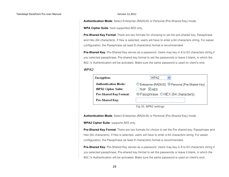**Authentication Mode**: Select Enterprise (RADIUS) or Personal (Pre-Shared Key) mode.

**WPA Cipher Suite**: here supported AES only.

**Pre-Shared Key Format:** There are two formats for choosing to set the pre-shared key, Passphrase and Hex (64 characters). If Hex is selected, users will have to enter a 64 characters string. For easier configuration, the Passphrase (at least 8 characters) format is recommended.

**Pre-Shared Key**: Pre-Shared Key serves as a password. Users may key in 8 to 63 characters string if you selected passphrase. Pre-shared key format to set the passwords or leave it blank, in which the 802.1x Authentication will be activated. Make sure the same password is used on client's end.

#### *WPA2*

| Encryption:               | WPA2<br>₩                                                    |
|---------------------------|--------------------------------------------------------------|
| Authentication Mode:      | © Enterprise (RADIUS) <sup>⊙</sup> Personal (Pre-Shared Keγ) |
| <b>WPA2 Cipher Suite:</b> | <b>V</b> AES<br><b>TKIP</b>                                  |
| Pre-Shared Key Format:    | ⊙Passphrase OHEX (64 characters)                             |
| Pre-Shared Key:           |                                                              |
|                           | Fig 35. WPA2 settings                                        |

**Authentication Mode**: Select Enterprise (RADIUS) or Personal (Pre-Shared Key) mode.

**WPA2 Cipher Suite**: supports AES only.

**Pre-Shared Key Format**: There are two formats for choice to set the Pre shared key, Passphrase and Hex (64 characters). If Hex is selected, users will have to enter a 64 characters string. For easier configuration, the Passphrase (at least 8 characters) format is recommended.

**Pre-Shared Key**: Pre-Shared Key serves as a password. Users may key in 8 to 63 characters string if you selected passphrase. Pre-shared key format to set the passwords or leave it blank, in which the 802.1x Authentication will be activated. Make sure the same password is used on client's end.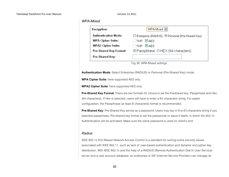#### *WPA-Mixed*

| <b>Encryption:</b>          | WPA-Mixed v                                                  |
|-----------------------------|--------------------------------------------------------------|
| <b>Authentication Mode:</b> | © Enterprise (RADIUS) <sup>⊙</sup> Personal (Pre-Shared Key) |
| <b>WPA Cipher Suite:</b>    | $\Box$ TKIP $\Box$ AES                                       |
| <b>WPA2 Cipher Suite:</b>   | $\Box$ TKIP $\Box$ AES                                       |
| Pre-Shared Key Format:      | ⊙Passphrase OHEX (64 characters)                             |
| Pre-Shared Key:             |                                                              |

Fig 36. WPA-Mixed settings

**Authentication Mode**: Select Enterprise (RADIUS) or Personal (Pre-Shared Key) mode.

**WPA Cipher Suite**: here supported AES only.

**WPA2 Cipher Suite**: here supported AES only.

**Pre-Shared Key Format**: There are two formats for choice to set the Preshared key, Passphrase and Hex (64 characters). If Hex is selected, users will have to enter a 64 characters string. For easier configuration, the Passphrase (at least 8 characters) format is recommended.

**Pre-Shared Key**: Pre-Shared Key serves as a password. Users may key in 8 to 63 characters string if you selected passphrase. Pre-shared key format to set the passwords or leave it blank, in which the 802.1x Authentication will be activated. Make sure the same password is used on client's end.

#### *Radius*

IEEE 802.1x Port-Based Network Access Control is a standard for solving some security issues associated with IEEE 802.11, such as lack of user-based authentication and dynamic encryption key distribution. With IEEE 802.1x and the help of a RADIUS (Remote Authentication Dial-In User Service) server and a user account database, an enterprise or ISP (Internet Service Provider) can manage its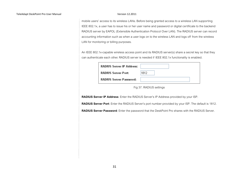mobile users' access to its wireless LANs. Before being granted access to a wireless LAN supporting IEEE 802.1x, a user has to issue his or her user name and password or digital certificate to the backend RADIUS server by EAPOL (Extensible Authentication Protocol Over LAN). The RADIUS server can record accounting information such as when a user logs on to the wireless LAN and logs off from the wireless LAN for monitoring or billing purposes.

An IEEE 802.1x-capable wireless access point and its RADIUS server(s) share a secret key so that they can authenticate each other. RADIUS server is needed if IEEE 802.1x functionality is enabled.

| RADIUS Server IP Address:  |      |
|----------------------------|------|
| <b>RADIUS Server Port:</b> | 1812 |
| RADIUS Server Password:    |      |

Fig 37. RADIUS settings

**RADIUS Server IP Address**: Enter the RADIUS Server's IP Address provided by your ISP.

**RADIUS Server Port**: Enter the RADIUS Server's port number provided by your ISP. The default is 1812.

**RADIUS Server Password**: Enter the password that the DeskPoint Pro shares with the RADIUS Server.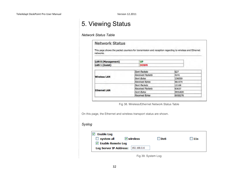# 5. Viewing Status

#### *Network Status Table*

| networks.           |  |                     | This page shows the packet counters for transmission and reception regarding to wireless and Ethernet |
|---------------------|--|---------------------|-------------------------------------------------------------------------------------------------------|
| LAN 0 (Management)  |  | <b>UP</b>           |                                                                                                       |
| LAN 1 (Guest)       |  | <b>DOWN</b>         |                                                                                                       |
|                     |  | <b>Sent Packets</b> | 627                                                                                                   |
|                     |  | Received Packets    | 4241                                                                                                  |
| <b>Wireless LAN</b> |  | Sent Bytes          | 136059                                                                                                |
|                     |  | Received Bytes      | 481974                                                                                                |
|                     |  | <b>Sent Packets</b> | 12168                                                                                                 |
|                     |  | Received Packets    | 63637                                                                                                 |
| <b>Ethernet LAN</b> |  | Sent Bytes          | 3931820                                                                                               |
|                     |  | Received Bytes      | 6958278                                                                                               |

Fig 38. Wireless/Ethernet Network Status Table

On this page, the Ethernet and wireless transport status are shown.

#### *Syslog*

| <b>Enable Log</b><br>$\Box$ system all | $\vee$ wireless | <b>DoS</b> | 11s |
|----------------------------------------|-----------------|------------|-----|
| $\triangledown$ Enable Remote Log      |                 |            |     |
| <b>Log Server IP Address:</b>          | 192, 168, 0, 6  |            |     |

Fig 39. System Log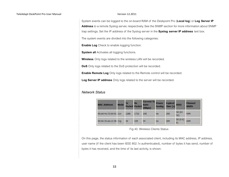System events can be logged to the on-board RAM of the Deskpoint Pro (**Local log**) or **Log Server IP Address** to a remote Syslog server, respectively. See the SNMP section for more information about SNMP trap settings. Set the IP address of the Syslog server in the **Syslog server IP address** text box.

The system events are divided into the following categories:

**Enable Log** Check to enable logging function.

**System all** Activates all logging functions.

**Wireless** Only logs related to the wireless LAN will be recorded.

**DoS** Only logs related to the DoS protection will be recorded.

**Enable Remote Log** Only logs related to the Remote control will be recorded.

**Log Server IP address** Only logs related to the server will be recorded.

#### *Network Status*

| <b>MAC Address</b>    | Mode |      | RX   | <b>Current Tx</b><br>Rate<br>(Mbps) | Power<br><b>Saving</b> | <b>Expired</b><br>Time(5) | <b>RSSI</b>    | Channel<br>Width |
|-----------------------|------|------|------|-------------------------------------|------------------------|---------------------------|----------------|------------------|
| 00:e0:4c:72:00:01 11n |      | 1286 | 1732 | 108                                 | no                     | 300                       | 58 (63)<br>56) | 40M              |
| 00:0e:35:ae:c1:96 11g |      | 30   | 109  | 54                                  | no                     | 289                       | 55 (00)<br>6)  | <b>20M</b>       |

Fig 40. Wireless Clients Status

On this page, the status information of each associated client, including its MAC address, IP address, user name (if the client has been IEEE 802.1x authenticated), number of bytes it has send, number of bytes it has received, and the time of its last activity, is shown.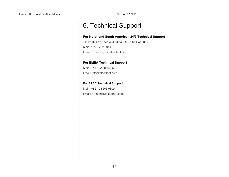# 6. Technical Support

#### **For North and South American 24/7 Technical Support**

Toll-Free: 1 877 835 3232 x306 (in US and Canada) Main: 1 775 232 5044 Email: ric.jones@us.teleadapt.com

#### **For EMEA Technical Support**

Main: +44 1923 810235 Email: info@teleadapt.com

#### **For APAC Technical Support**

Main: +82 10 8566 0809 Email: dg.hong@teleadapt.com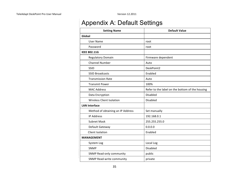# Appendix A: Default Settings

| <b>Setting Name</b>               | <b>Default Value</b>                            |  |  |  |  |
|-----------------------------------|-------------------------------------------------|--|--|--|--|
| Global                            |                                                 |  |  |  |  |
| <b>User Name</b>                  | root                                            |  |  |  |  |
| Password                          | root                                            |  |  |  |  |
| <b>IEEE 802.11G</b>               |                                                 |  |  |  |  |
| <b>Regulatory Domain</b>          | Firmware dependent                              |  |  |  |  |
| <b>Channel Number</b>             | Auto                                            |  |  |  |  |
| SSID                              | DeskPoint2                                      |  |  |  |  |
| <b>SSID Broadcasts</b>            | Enabled                                         |  |  |  |  |
| <b>Transmission Rate</b>          | Auto                                            |  |  |  |  |
| <b>Transmit Power</b>             | 100%                                            |  |  |  |  |
| <b>MAC Address</b>                | Refer to the label on the bottom of the housing |  |  |  |  |
| Data Encryption                   | <b>Disabled</b>                                 |  |  |  |  |
| <b>Wireless Client Isolation</b>  | <b>Disabled</b>                                 |  |  |  |  |
| <b>LAN Interface</b>              |                                                 |  |  |  |  |
| Method of obtaining an IP Address | Set manually                                    |  |  |  |  |
| <b>IP Address</b>                 | 192.168.0.1                                     |  |  |  |  |
| <b>Subnet Mask</b>                | 255.255.255.0                                   |  |  |  |  |
| Default Gateway                   | 0.0.0.0                                         |  |  |  |  |
| Client Isolation                  | Enabled                                         |  |  |  |  |
| <b>MANAGEMENT</b>                 |                                                 |  |  |  |  |
| System Log                        | Local Log                                       |  |  |  |  |
| <b>SNMP</b>                       | <b>Disabled</b>                                 |  |  |  |  |
| <b>SNMP Read-only community</b>   | public                                          |  |  |  |  |
| SNMP Read-write community         | private                                         |  |  |  |  |